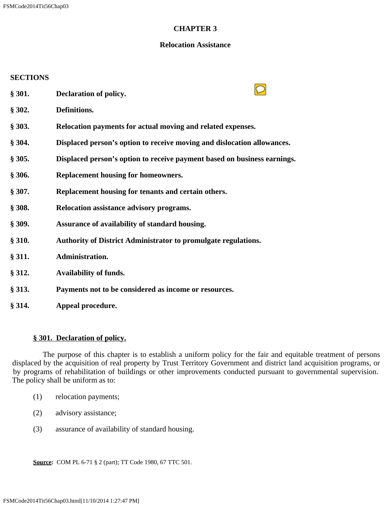# **CHAPTER 3**

## **Relocation Assistance**

# **SECTIONS**

- **§ 301. Declaration of policy.**
- **§ 302. Definitions.**
- **§ 303. Relocation payments for actual moving and related expenses.**
- **§ 304. Displaced person's option to receive moving and dislocation allowances.**
- **§ 305. Displaced person's option to receive payment based on business earnings.**
- **§ 306. Replacement housing for homeowners.**
- **§ 307. Replacement housing for tenants and certain others.**
- **§ 308. Relocation assistance advisory programs.**
- **§ 309. Assurance of availability of standard housing.**
- **§ 310. Authority of District Administrator to promulgate regulations.**
- **§ 311. Administration.**
- **§ 312. Availability of funds.**
- **§ 313. Payments not to be considered as income or resources.**
- **§ 314. Appeal procedure.**

## **§ 301. Declaration of policy.**

 The purpose of this chapter is to establish a uniform policy for the fair and equitable treatment of persons displaced by the acquisition of real property by Trust Territory Government and district land acquisition programs, or by programs of rehabilitation of buildings or other improvements conducted pursuant to governmental supervision. The policy shall be uniform as to:

- (1) relocation payments;
- (2) advisory assistance;
- (3) assurance of availability of standard housing.

**Source:** COM PL 6-71 § 2 (part); TT Code 1980, 67 TTC 501.

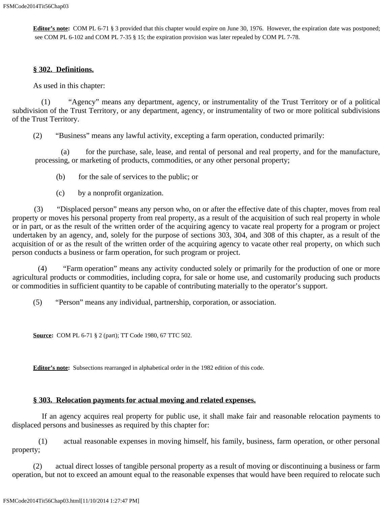**Editor's note:** COM PL 6-71 § 3 provided that this chapter would expire on June 30, 1976. However, the expiration date was postponed; see COM PL 6-102 and COM PL 7-35 § 15; the expiration provision was later repealed by COM PL 7-78.

# **§ 302. Definitions.**

As used in this chapter:

 (1) "Agency" means any department, agency, or instrumentality of the Trust Territory or of a political subdivision of the Trust Territory, or any department, agency, or instrumentality of two or more political subdivisions of the Trust Territory.

(2) "Business" means any lawful activity, excepting a farm operation, conducted primarily:

 (a) for the purchase, sale, lease, and rental of personal and real property, and for the manufacture, processing, or marketing of products, commodities, or any other personal property;

(b) for the sale of services to the public; or

(c) by a nonprofit organization.

 (3) "Displaced person" means any person who, on or after the effective date of this chapter, moves from real property or moves his personal property from real property, as a result of the acquisition of such real property in whole or in part, or as the result of the written order of the acquiring agency to vacate real property for a program or project undertaken by an agency, and, solely for the purpose of sections 303, 304, and 308 of this chapter, as a result of the acquisition of or as the result of the written order of the acquiring agency to vacate other real property, on which such person conducts a business or farm operation, for such program or project.

 (4) "Farm operation" means any activity conducted solely or primarily for the production of one or more agricultural products or commodities, including copra, for sale or home use, and customarily producing such products or commodities in sufficient quantity to be capable of contributing materially to the operator's support.

(5) "Person" means any individual, partnership, corporation, or association.

**Source:** COM PL 6-71 § 2 (part); TT Code 1980, 67 TTC 502.

**Editor's note:** Subsections rearranged in alphabetical order in the 1982 edition of this code.

# **§ 303. Relocation payments for actual moving and related expenses.**

 If an agency acquires real property for public use, it shall make fair and reasonable relocation payments to displaced persons and businesses as required by this chapter for:

 (1) actual reasonable expenses in moving himself, his family, business, farm operation, or other personal property;

 (2) actual direct losses of tangible personal property as a result of moving or discontinuing a business or farm operation, but not to exceed an amount equal to the reasonable expenses that would have been required to relocate such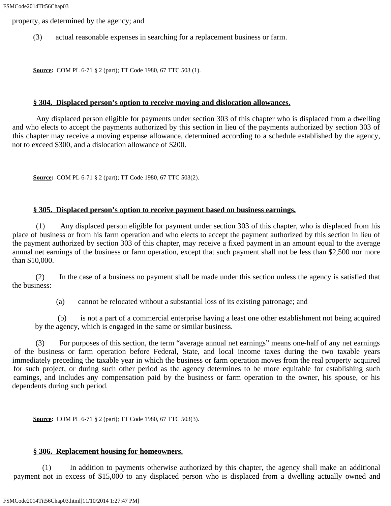property, as determined by the agency; and

(3) actual reasonable expenses in searching for a replacement business or farm.

**Source:** COM PL 6-71 § 2 (part); TT Code 1980, 67 TTC 503 (1).

### **§ 304. Displaced person's option to receive moving and dislocation allowances.**

 Any displaced person eligible for payments under section 303 of this chapter who is displaced from a dwelling and who elects to accept the payments authorized by this section in lieu of the payments authorized by section 303 of this chapter may receive a moving expense allowance, determined according to a schedule established by the agency, not to exceed \$300, and a dislocation allowance of \$200.

**Source:** COM PL 6-71 § 2 (part); TT Code 1980, 67 TTC 503(2).

#### **§ 305. Displaced person's option to receive payment based on business earnings.**

 (1) Any displaced person eligible for payment under section 303 of this chapter, who is displaced from his place of business or from his farm operation and who elects to accept the payment authorized by this section in lieu of the payment authorized by section 303 of this chapter, may receive a fixed payment in an amount equal to the average annual net earnings of the business or farm operation, except that such payment shall not be less than \$2,500 nor more than \$10,000.

 (2) In the case of a business no payment shall be made under this section unless the agency is satisfied that the business:

(a) cannot be relocated without a substantial loss of its existing patronage; and

 (b) is not a part of a commercial enterprise having a least one other establishment not being acquired by the agency, which is engaged in the same or similar business.

 (3) For purposes of this section, the term "average annual net earnings" means one-half of any net earnings of the business or farm operation before Federal, State, and local income taxes during the two taxable years immediately preceding the taxable year in which the business or farm operation moves from the real property acquired for such project, or during such other period as the agency determines to be more equitable for establishing such earnings, and includes any compensation paid by the business or farm operation to the owner, his spouse, or his dependents during such period.

**Source:** COM PL 6-71 § 2 (part); TT Code 1980, 67 TTC 503(3).

#### **§ 306. Replacement housing for homeowners.**

 (1) In addition to payments otherwise authorized by this chapter, the agency shall make an additional payment not in excess of \$15,000 to any displaced person who is displaced from a dwelling actually owned and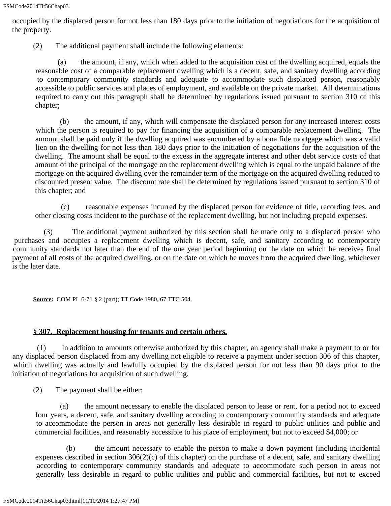occupied by the displaced person for not less than 180 days prior to the initiation of negotiations for the acquisition of the property.

(2) The additional payment shall include the following elements:

 (a) the amount, if any, which when added to the acquisition cost of the dwelling acquired, equals the reasonable cost of a comparable replacement dwelling which is a decent, safe, and sanitary dwelling according to contemporary community standards and adequate to accommodate such displaced person, reasonably accessible to public services and places of employment, and available on the private market. All determinations required to carry out this paragraph shall be determined by regulations issued pursuant to section 310 of this chapter;

 (b) the amount, if any, which will compensate the displaced person for any increased interest costs which the person is required to pay for financing the acquisition of a comparable replacement dwelling. The amount shall be paid only if the dwelling acquired was encumbered by a bona fide mortgage which was a valid lien on the dwelling for not less than 180 days prior to the initiation of negotiations for the acquisition of the dwelling. The amount shall be equal to the excess in the aggregate interest and other debt service costs of that amount of the principal of the mortgage on the replacement dwelling which is equal to the unpaid balance of the mortgage on the acquired dwelling over the remainder term of the mortgage on the acquired dwelling reduced to discounted present value. The discount rate shall be determined by regulations issued pursuant to section 310 of this chapter; and

 (c) reasonable expenses incurred by the displaced person for evidence of title, recording fees, and other closing costs incident to the purchase of the replacement dwelling, but not including prepaid expenses.

 (3) The additional payment authorized by this section shall be made only to a displaced person who purchases and occupies a replacement dwelling which is decent, safe, and sanitary according to contemporary community standards not later than the end of the one year period beginning on the date on which he receives final payment of all costs of the acquired dwelling, or on the date on which he moves from the acquired dwelling, whichever is the later date.

**Source:** COM PL 6-71 § 2 (part); TT Code 1980, 67 TTC 504.

# **§ 307. Replacement housing for tenants and certain others.**

 (1) In addition to amounts otherwise authorized by this chapter, an agency shall make a payment to or for any displaced person displaced from any dwelling not eligible to receive a payment under section 306 of this chapter, which dwelling was actually and lawfully occupied by the displaced person for not less than 90 days prior to the initiation of negotiations for acquisition of such dwelling.

(2) The payment shall be either:

 (a) the amount necessary to enable the displaced person to lease or rent, for a period not to exceed four years, a decent, safe, and sanitary dwelling according to contemporary community standards and adequate to accommodate the person in areas not generally less desirable in regard to public utilities and public and commercial facilities, and reasonably accessible to his place of employment, but not to exceed \$4,000; or

 (b) the amount necessary to enable the person to make a down payment (including incidental expenses described in section 306(2)(c) of this chapter) on the purchase of a decent, safe, and sanitary dwelling according to contemporary community standards and adequate to accommodate such person in areas not generally less desirable in regard to public utilities and public and commercial facilities, but not to exceed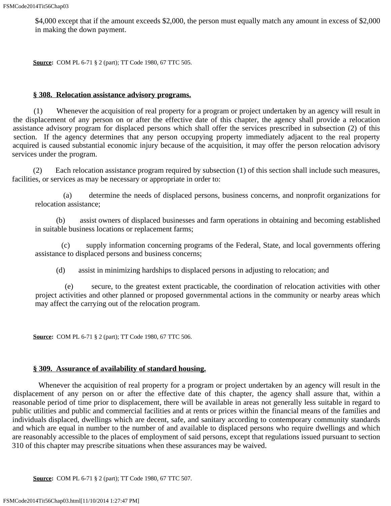\$4,000 except that if the amount exceeds \$2,000, the person must equally match any amount in excess of \$2,000 in making the down payment.

**Source:** COM PL 6-71 § 2 (part); TT Code 1980, 67 TTC 505.

### **§ 308. Relocation assistance advisory programs.**

 (1) Whenever the acquisition of real property for a program or project undertaken by an agency will result in the displacement of any person on or after the effective date of this chapter, the agency shall provide a relocation assistance advisory program for displaced persons which shall offer the services prescribed in subsection (2) of this section. If the agency determines that any person occupying property immediately adjacent to the real property acquired is caused substantial economic injury because of the acquisition, it may offer the person relocation advisory services under the program.

 (2) Each relocation assistance program required by subsection (1) of this section shall include such measures, facilities, or services as may be necessary or appropriate in order to:

 (a) determine the needs of displaced persons, business concerns, and nonprofit organizations for relocation assistance;

(b) assist owners of displaced businesses and farm operations in obtaining and becoming established in suitable business locations or replacement farms;

 (c) supply information concerning programs of the Federal, State, and local governments offering assistance to displaced persons and business concerns;

(d) assist in minimizing hardships to displaced persons in adjusting to relocation; and

 (e) secure, to the greatest extent practicable, the coordination of relocation activities with other project activities and other planned or proposed governmental actions in the community or nearby areas which may affect the carrying out of the relocation program.

**Source:** COM PL 6-71 § 2 (part); TT Code 1980, 67 TTC 506.

## **§ 309. Assurance of availability of standard housing.**

 Whenever the acquisition of real property for a program or project undertaken by an agency will result in the displacement of any person on or after the effective date of this chapter, the agency shall assure that, within a reasonable period of time prior to displacement, there will be available in areas not generally less suitable in regard to public utilities and public and commercial facilities and at rents or prices within the financial means of the families and individuals displaced, dwellings which are decent, safe, and sanitary according to contemporary community standards and which are equal in number to the number of and available to displaced persons who require dwellings and which are reasonably accessible to the places of employment of said persons, except that regulations issued pursuant to section 310 of this chapter may prescribe situations when these assurances may be waived.

**Source:** COM PL 6-71 § 2 (part); TT Code 1980, 67 TTC 507.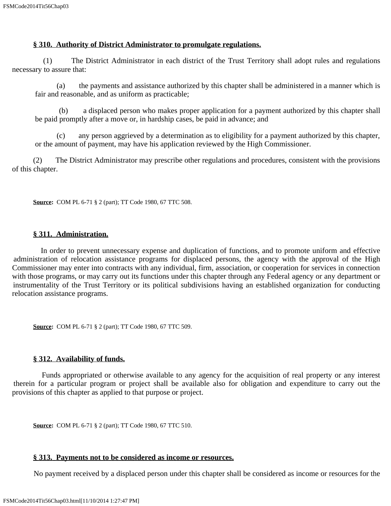# **§ 310. Authority of District Administrator to promulgate regulations.**

 (1) The District Administrator in each district of the Trust Territory shall adopt rules and regulations necessary to assure that:

 (a) the payments and assistance authorized by this chapter shall be administered in a manner which is fair and reasonable, and as uniform as practicable;

 (b) a displaced person who makes proper application for a payment authorized by this chapter shall be paid promptly after a move or, in hardship cases, be paid in advance; and

 (c) any person aggrieved by a determination as to eligibility for a payment authorized by this chapter, or the amount of payment, may have his application reviewed by the High Commissioner.

 (2) The District Administrator may prescribe other regulations and procedures, consistent with the provisions of this chapter.

**Source:** COM PL 6-71 § 2 (part); TT Code 1980, 67 TTC 508.

# **§ 311. Administration.**

 In order to prevent unnecessary expense and duplication of functions, and to promote uniform and effective administration of relocation assistance programs for displaced persons, the agency with the approval of the High Commissioner may enter into contracts with any individual, firm, association, or cooperation for services in connection with those programs, or may carry out its functions under this chapter through any Federal agency or any department or instrumentality of the Trust Territory or its political subdivisions having an established organization for conducting relocation assistance programs.

**Source:** COM PL 6-71 § 2 (part); TT Code 1980, 67 TTC 509.

## **§ 312. Availability of funds.**

 Funds appropriated or otherwise available to any agency for the acquisition of real property or any interest therein for a particular program or project shall be available also for obligation and expenditure to carry out the provisions of this chapter as applied to that purpose or project.

**Source:** COM PL 6-71 § 2 (part); TT Code 1980, 67 TTC 510.

# **§ 313. Payments not to be considered as income or resources.**

No payment received by a displaced person under this chapter shall be considered as income or resources for the